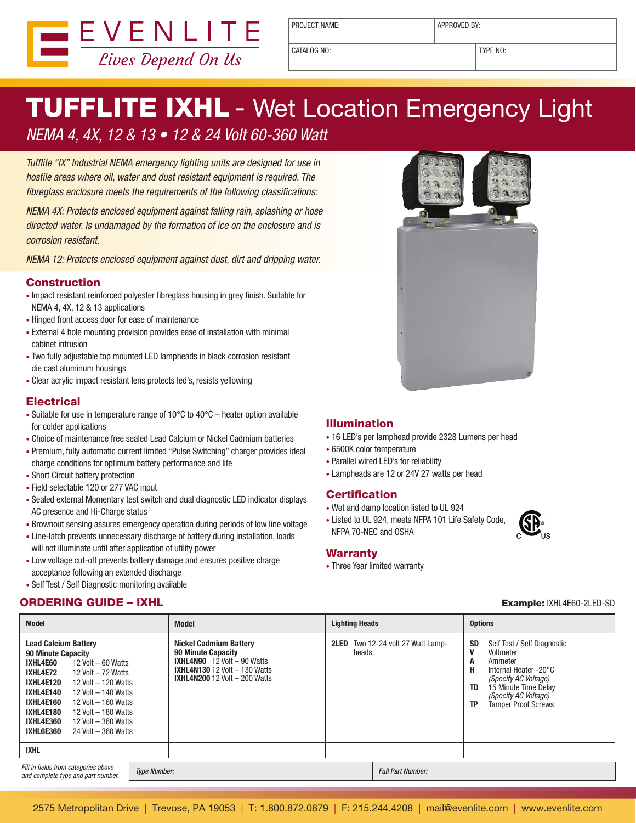

PROJECT NAME:  $\vert$  APPROVED BY:

CATALOG NO: TYPE NO:

# **TUFFLITE IXHL** - Wet Location Emergency Light NEMA 4, 4X, 12 & 13 • 12 & 24 Volt 60-360 Watt

Tufflite "IX" Industrial NEMA emergency lighting units are designed for use in hostile areas where oil, water and dust resistant equipment is required. The fibreglass enclosure meets the requirements of the following classifications:

NEMA 4X: Protects enclosed equipment against falling rain, splashing or hose directed water. Is undamaged by the formation of ice on the enclosure and is corrosion resistant.

NEMA 12: Protects enclosed equipment against dust, dirt and dripping water.

## Construction

- Impact resistant reinforced polyester fibreglass housing in grey finish. Suitable for NEMA 4, 4X, 12 & 13 applications
- Hinged front access door for ease of maintenance
- External 4 hole mounting provision provides ease of installation with minimal cabinet intrusion
- Two fully adjustable top mounted LED lampheads in black corrosion resistant die cast aluminum housings
- • Clear acrylic impact resistant lens protects led's, resists yellowing

# **Electrical**

- Suitable for use in temperature range of  $10^{\circ}$ C to  $40^{\circ}$ C heater option available for colder applications
- Choice of maintenance free sealed Lead Calcium or Nickel Cadmium batteries
- Premium, fully automatic current limited "Pulse Switching" charger provides ideal charge conditions for optimum battery performance and life
- Short Circuit battery protection
- Field selectable 120 or 277 VAC input
- • Sealed external Momentary test switch and dual diagnostic LED indicator displays AC presence and Hi-Charge status
- Brownout sensing assures emergency operation during periods of low line voltage
- Line-latch prevents unnecessary discharge of battery during installation, loads will not illuminate until after application of utility power
- Low voltage cut-off prevents battery damage and ensures positive charge acceptance following an extended discharge
- Self Test / Self Diagnostic monitoring available

# ORDERING GUIDE – IXHL Example: IXHL4E60-2LED-SD



### Illumination

- 16 LED's per lamphead provide 2328 Lumens per head
- 6500K color temperature
- • Parallel wired LED's for reliability
- Lampheads are 12 or 24V 27 watts per head

### **Certification**

- • Wet and damp location listed to UL 924
- Listed to UL 924, meets NFPA 101 Life Safety Code, NFPA 70-NEC and OSHA

#### **Warranty**

• Three Year limited warranty

**SR** 

| <b>Model</b>                                                                                                                                                                                                                                                                                                                                                                                    | <b>Model</b>                                                                                                                                                                             | <b>Lighting Heads</b>                                            | <b>Options</b>                                                                                                                                                                                                     |  |
|-------------------------------------------------------------------------------------------------------------------------------------------------------------------------------------------------------------------------------------------------------------------------------------------------------------------------------------------------------------------------------------------------|------------------------------------------------------------------------------------------------------------------------------------------------------------------------------------------|------------------------------------------------------------------|--------------------------------------------------------------------------------------------------------------------------------------------------------------------------------------------------------------------|--|
| <b>Lead Calcium Battery</b><br>90 Minute Capacity<br>IXHL4E60<br>12 Volt $-60$ Watts<br>IXHL4E72<br>12 Volt $-72$ Watts<br><b>IXHL4E120</b><br>12 Volt $-$ 120 Watts<br><b>IXHL4E140</b><br>12 Volt $-$ 140 Watts<br><b>IXHL4E160</b><br>12 Volt $-$ 160 Watts<br><b>IXHL4E180</b><br>12 Volt $-$ 180 Watts<br><b>IXHL4E360</b><br>12 Volt $-$ 360 Watts<br>IXHL6E360<br>$24$ Volt $-360$ Watts | <b>Nickel Cadmium Battery</b><br><b>90 Minute Capacity</b><br><b>IXHL4N90</b> $12$ Volt $-$ 90 Watts<br><b>IXHL4N130</b> 12 Volt $-$ 130 Watts<br><b>IXHL4N200</b> 12 Volt $-$ 200 Watts | <b>2LED</b> Two 12-24 volt 27 Watt Lamp-<br>V<br>heads<br>A<br>Н | <b>SD</b><br>Self Test / Self Diagnostic<br>Voltmeter<br>Ammeter<br>Internal Heater -20°C<br>(Specify AC Voltage)<br>15 Minute Time Delay<br>TD<br>(Specify AC Voltage)<br><b>Tamper Proof Screws</b><br><b>TP</b> |  |
| <b>IXHL</b>                                                                                                                                                                                                                                                                                                                                                                                     |                                                                                                                                                                                          |                                                                  |                                                                                                                                                                                                                    |  |
| Fill in fields from categories above<br>and complete type and part number.                                                                                                                                                                                                                                                                                                                      | <b>Type Number:</b>                                                                                                                                                                      | <b>Full Part Number:</b>                                         |                                                                                                                                                                                                                    |  |